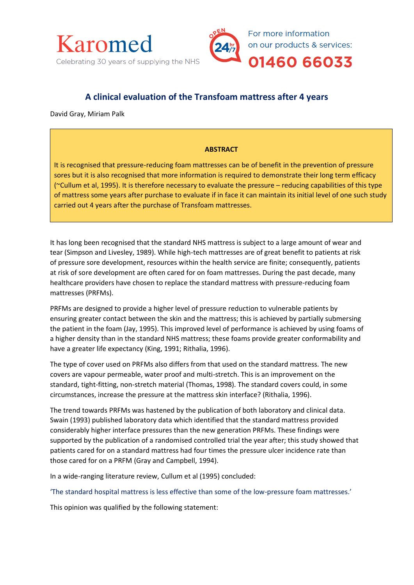

# **A clinical evaluation of the Transfoam mattress after 4 years**

David Gray, Miriam Palk

## **ABSTRACT**

It is recognised that pressure-reducing foam mattresses can be of benefit in the prevention of pressure sores but it is also recognised that more information is required to demonstrate their long term efficacy (~Cullum et al, 1995). It is therefore necessary to evaluate the pressure – reducing capabilities of this type of mattress some years after purchase to evaluate if in face it can maintain its initial level of one such study carried out 4 years after the purchase of Transfoam mattresses.

It has long been recognised that the standard NHS mattress is subject to a large amount of wear and tear (Simpson and Livesley, 1989). While high-tech mattresses are of great benefit to patients at risk of pressure sore development, resources within the health service are finite; consequently, patients at risk of sore development are often cared for on foam mattresses. During the past decade, many healthcare providers have chosen to replace the standard mattress with pressure-reducing foam mattresses (PRFMs).

PRFMs are designed to provide a higher level of pressure reduction to vulnerable patients by ensuring greater contact between the skin and the mattress; this is achieved by partially submersing the patient in the foam (Jay, 1995). This improved level of performance is achieved by using foams of a higher density than in the standard NHS mattress; these foams provide greater conformability and have a greater life expectancy (King, 1991; Rithalia, 1996).

The type of cover used on PRFMs also differs from that used on the standard mattress. The new covers are vapour permeable, water proof and multi-stretch. This is an improvement on the standard, tight-fitting, non-stretch material (Thomas, 1998). The standard covers could, in some circumstances, increase the pressure at the mattress skin interface? (Rithalia, 1996).

The trend towards PRFMs was hastened by the publication of both laboratory and clinical data. Swain (1993) published laboratory data which identified that the standard mattress provided considerably higher interface pressures than the new generation PRFMs. These findings were supported by the publication of a randomised controlled trial the year after; this study showed that patients cared for on a standard mattress had four times the pressure ulcer incidence rate than those cared for on a PRFM (Gray and Campbell, 1994).

In a wide-ranging literature review, Cullum et al (1995) concluded:

'The standard hospital mattress is less effective than some of the low-pressure foam mattresses.'

This opinion was qualified by the following statement: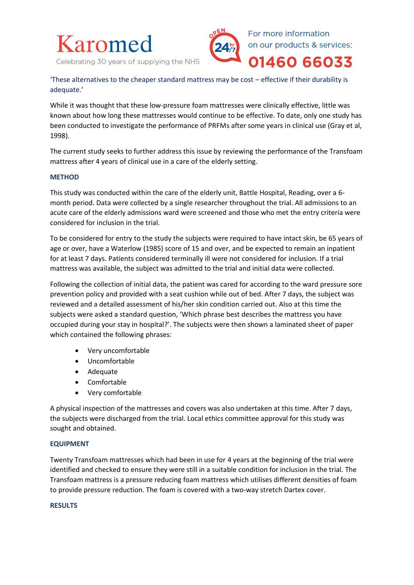



'These alternatives to the cheaper standard mattress may be cost – effective if their durability is adequate.'

While it was thought that these low-pressure foam mattresses were clinically effective, little was known about how long these mattresses would continue to be effective. To date, only one study has been conducted to investigate the performance of PRFMs after some years in clinical use (Gray et al, 1998).

The current study seeks to further address this issue by reviewing the performance of the Transfoam mattress after 4 years of clinical use in a care of the elderly setting.

#### **METHOD**

This study was conducted within the care of the elderly unit, Battle Hospital, Reading, over a 6 month period. Data were collected by a single researcher throughout the trial. All admissions to an acute care of the elderly admissions ward were screened and those who met the entry criteria were considered for inclusion in the trial.

To be considered for entry to the study the subjects were required to have intact skin, be 65 years of age or over, have a Waterlow (1985) score of 15 and over, and be expected to remain an inpatient for at least 7 days. Patients considered terminally ill were not considered for inclusion. If a trial mattress was available, the subject was admitted to the trial and initial data were collected.

Following the collection of initial data, the patient was cared for according to the ward pressure sore prevention policy and provided with a seat cushion while out of bed. After 7 days, the subject was reviewed and a detailed assessment of his/her skin condition carried out. Also at this time the subjects were asked a standard question, 'Which phrase best describes the mattress you have occupied during your stay in hospital?'. The subjects were then shown a laminated sheet of paper which contained the following phrases:

- Very uncomfortable
- Uncomfortable
- Adequate
- Comfortable
- Very comfortable

A physical inspection of the mattresses and covers was also undertaken at this time. After 7 days, the subjects were discharged from the trial. Local ethics committee approval for this study was sought and obtained.

#### **EQUIPMENT**

Twenty Transfoam mattresses which had been in use for 4 years at the beginning of the trial were identified and checked to ensure they were still in a suitable condition for inclusion in the trial. The Transfoam mattress is a pressure reducing foam mattress which utilises different densities of foam to provide pressure reduction. The foam is covered with a two-way stretch Dartex cover.

#### **RESULTS**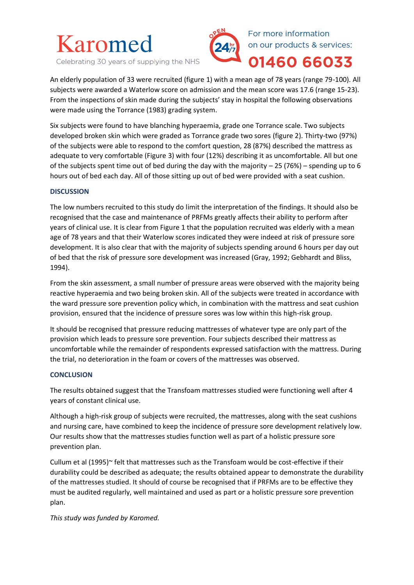

Celebrating 30 years of supplying the NHS



An elderly population of 33 were recruited (figure 1) with a mean age of 78 years (range 79-100). All subjects were awarded a Waterlow score on admission and the mean score was 17.6 (range 15-23). From the inspections of skin made during the subjects' stay in hospital the following observations were made using the Torrance (1983) grading system.

Six subjects were found to have blanching hyperaemia, grade one Torrance scale. Two subjects developed broken skin which were graded as Torrance grade two sores (figure 2). Thirty-two (97%) of the subjects were able to respond to the comfort question, 28 (87%) described the mattress as adequate to very comfortable (Figure 3) with four (12%) describing it as uncomfortable. All but one of the subjects spent time out of bed during the day with the majority  $-25(76%)$  – spending up to 6 hours out of bed each day. All of those sitting up out of bed were provided with a seat cushion.

#### **DISCUSSION**

The low numbers recruited to this study do limit the interpretation of the findings. It should also be recognised that the case and maintenance of PRFMs greatly affects their ability to perform after years of clinical use. It is clear from Figure 1 that the population recruited was elderly with a mean age of 78 years and that their Waterlow scores indicated they were indeed at risk of pressure sore development. It is also clear that with the majority of subjects spending around 6 hours per day out of bed that the risk of pressure sore development was increased (Gray, 1992; Gebhardt and Bliss, 1994).

From the skin assessment, a small number of pressure areas were observed with the majority being reactive hyperaemia and two being broken skin. All of the subjects were treated in accordance with the ward pressure sore prevention policy which, in combination with the mattress and seat cushion provision, ensured that the incidence of pressure sores was low within this high-risk group.

It should be recognised that pressure reducing mattresses of whatever type are only part of the provision which leads to pressure sore prevention. Four subjects described their mattress as uncomfortable while the remainder of respondents expressed satisfaction with the mattress. During the trial, no deterioration in the foam or covers of the mattresses was observed.

#### **CONCLUSION**

The results obtained suggest that the Transfoam mattresses studied were functioning well after 4 years of constant clinical use.

Although a high-risk group of subjects were recruited, the mattresses, along with the seat cushions and nursing care, have combined to keep the incidence of pressure sore development relatively low. Our results show that the mattresses studies function well as part of a holistic pressure sore prevention plan.

Cullum et al (1995)~ felt that mattresses such as the Transfoam would be cost-effective if their durability could be described as adequate; the results obtained appear to demonstrate the durability of the mattresses studied. It should of course be recognised that if PRFMs are to be effective they must be audited regularly, well maintained and used as part or a holistic pressure sore prevention plan.

*This study was funded by Karomed.*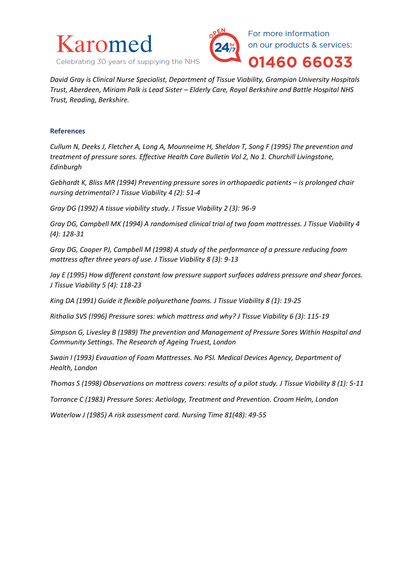



*David Gray is Clinical Nurse Specialist, Department of Tissue Viability, Grampian University Hospitals Trust, Aberdeen, Miriam Palk is Lead Sister – Elderly Care, Royal Berkshire and Battle Hospital NHS Trust, Reading, Berkshire.*

#### **References**

*Cullum N, Deeks J, Fletcher A, Long A, Mounneime H, Sheldon T, Song F (1995) The prevention and treatment of pressure sores. Effective Health Care Bulletin Vol 2, No 1. Churchill Livingstone, Edinburgh* 

*Gebhardt K, Bliss MR (1994) Preventing pressure sores in orthopaedic patients – is prolonged chair nursing detrimental? J Tissue Viability 4 (2): 51-4*

*Gray DG (1992) A tissue viability study. J Tissue Viability 2 (3): 96-9*

*Gray DG, Campbell MK (1994) A randomised clinical trial of two foam mattresses. J Tissue Viability 4 (4): 128-31*

*Gray DG, Cooper PJ, Campbell M (1998) A study of the performance of a pressure reducing foam mattress after three years of use. J Tissue Viability 8 (3): 9-13*

*Jay E (1995) How different constant low pressure support surfaces address pressure and shear forces. J Tissue Viability 5 (4): 118-23*

*King DA (1991) Guide it flexible polyurethane foams. J Tissue Viability 8 (1): 19-25*

*Rithalia SVS (!996) Pressure sores: which mattress and why? J Tissue Viability 6 (3): 115-19*

*Simpson G, Livesley B (1989) The prevention and Management of Pressure Sores Within Hospital and Community Settings. The Research of Ageing Truest, London* 

*Swain I (1993) Evauation of Foam Mattresses. No PSI. Medical Devices Agency, Department of Health, London*

*Thomas S (1998) Observations on mattress covers: results of a pilot study. J Tissue Viability 8 (1): 5-11*

*Torrance C (1983) Pressure Sores: Aetiology, Treatment and Prevention. Croom Helm, London*

*Waterlow J (1985) A risk assessment card. Nursing Time 81(48): 49-55*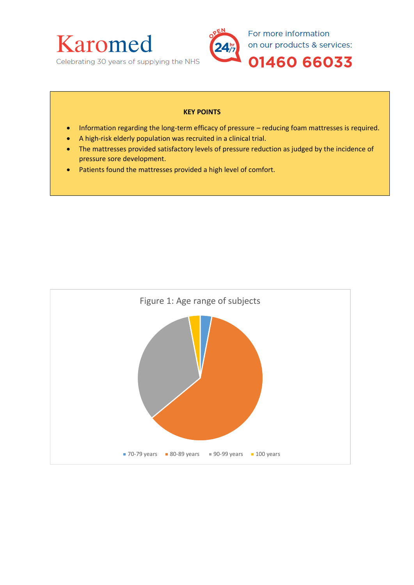

### **KEY POINTS**

- Information regarding the long-term efficacy of pressure reducing foam mattresses is required.
- A high-risk elderly population was recruited in a clinical trial.
- The mattresses provided satisfactory levels of pressure reduction as judged by the incidence of pressure sore development.
- Patients found the mattresses provided a high level of comfort.